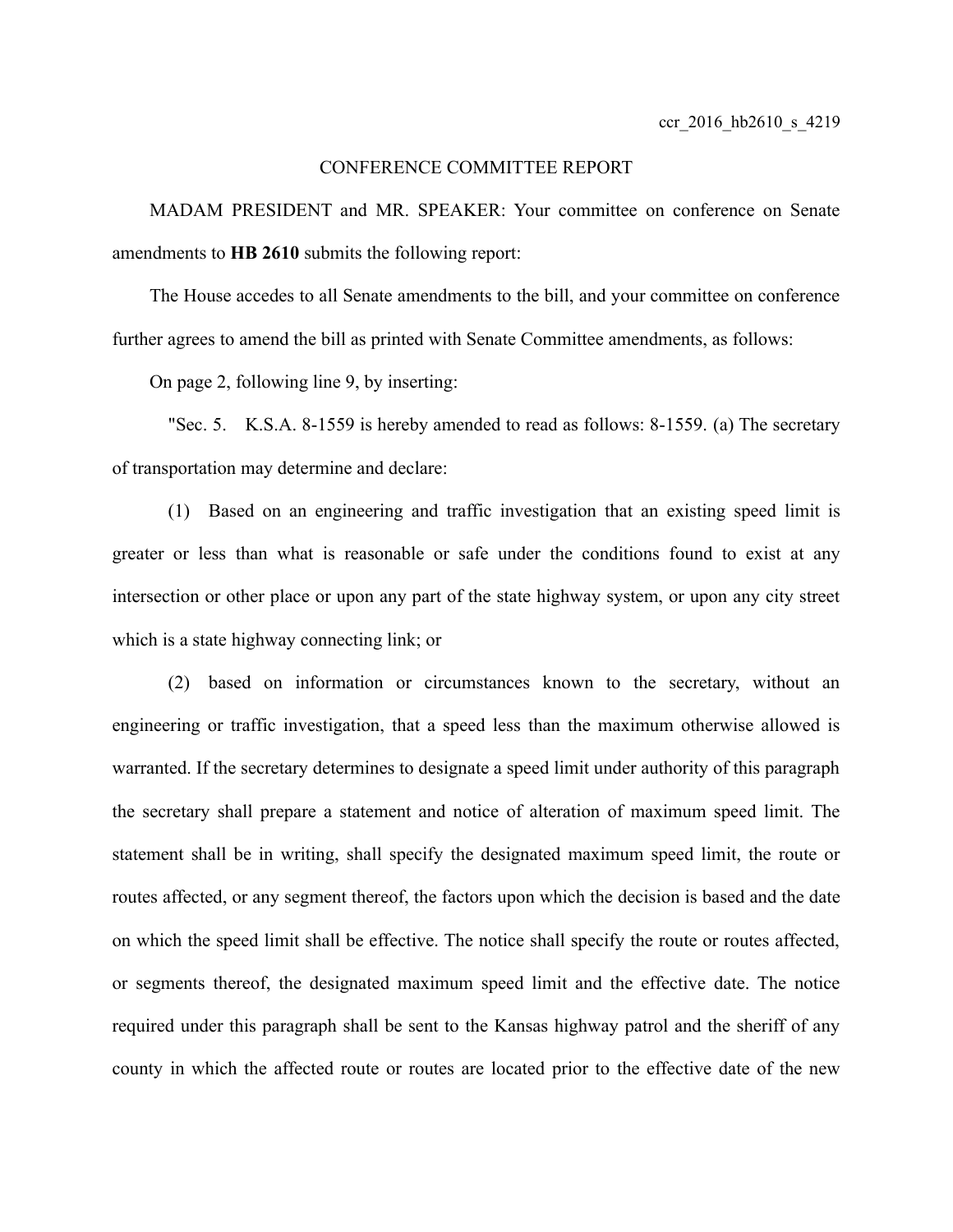## CONFERENCE COMMITTEE REPORT

MADAM PRESIDENT and MR. SPEAKER: Your committee on conference on Senate amendments to **HB 2610** submits the following report:

The House accedes to all Senate amendments to the bill, and your committee on conference further agrees to amend the bill as printed with Senate Committee amendments, as follows:

On page 2, following line 9, by inserting:

"Sec. 5. K.S.A. 8-1559 is hereby amended to read as follows: 8-1559. (a) The secretary of transportation may determine and declare:

(1) Based on an engineering and traffic investigation that an existing speed limit is greater or less than what is reasonable or safe under the conditions found to exist at any intersection or other place or upon any part of the state highway system, or upon any city street which is a state highway connecting link; or

(2) based on information or circumstances known to the secretary, without an engineering or traffic investigation, that a speed less than the maximum otherwise allowed is warranted. If the secretary determines to designate a speed limit under authority of this paragraph the secretary shall prepare a statement and notice of alteration of maximum speed limit. The statement shall be in writing, shall specify the designated maximum speed limit, the route or routes affected, or any segment thereof, the factors upon which the decision is based and the date on which the speed limit shall be effective. The notice shall specify the route or routes affected, or segments thereof, the designated maximum speed limit and the effective date. The notice required under this paragraph shall be sent to the Kansas highway patrol and the sheriff of any county in which the affected route or routes are located prior to the effective date of the new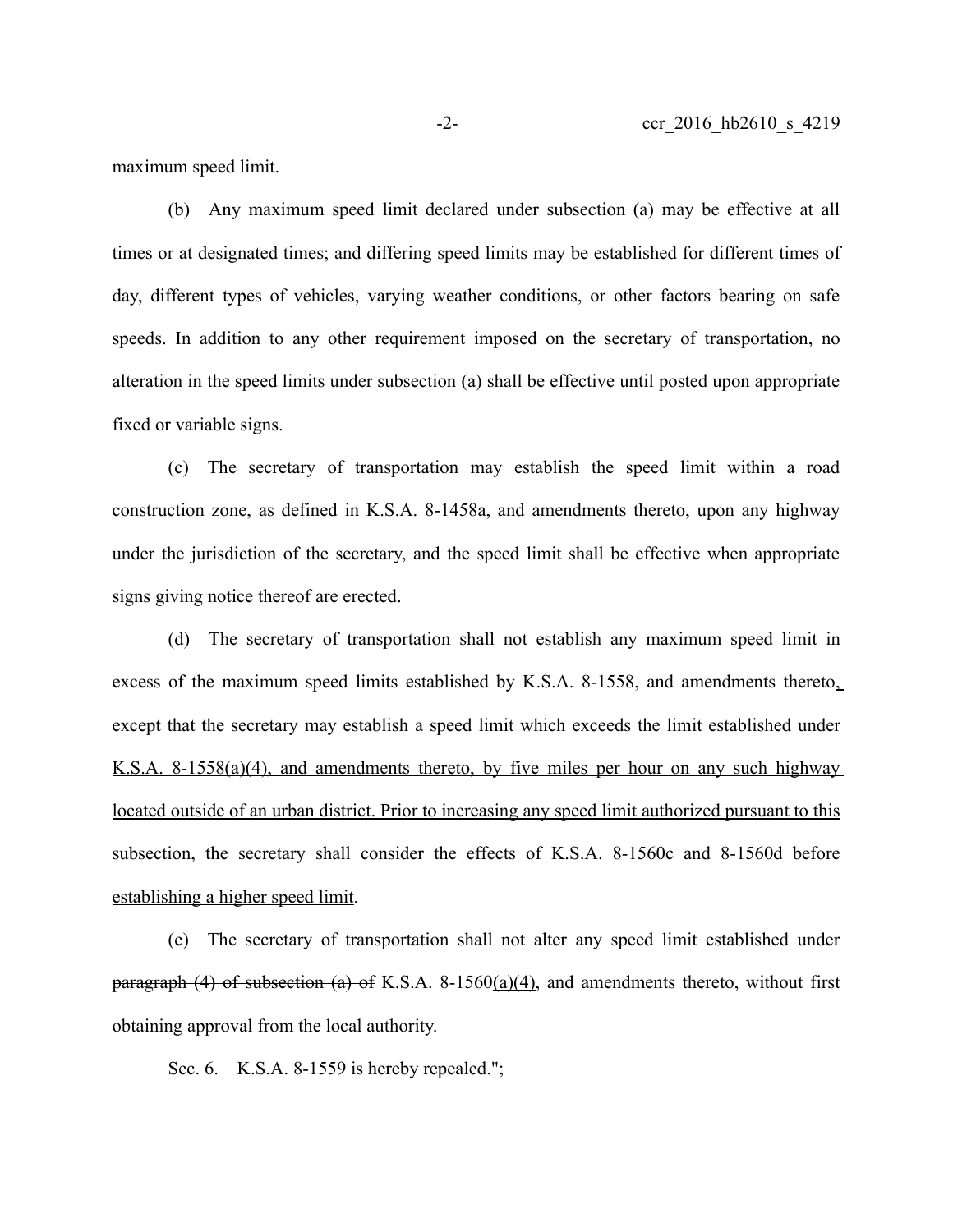maximum speed limit.

(b) Any maximum speed limit declared under subsection (a) may be effective at all times or at designated times; and differing speed limits may be established for different times of day, different types of vehicles, varying weather conditions, or other factors bearing on safe speeds. In addition to any other requirement imposed on the secretary of transportation, no alteration in the speed limits under subsection (a) shall be effective until posted upon appropriate fixed or variable signs.

(c) The secretary of transportation may establish the speed limit within a road construction zone, as defined in K.S.A. 8-1458a, and amendments thereto, upon any highway under the jurisdiction of the secretary, and the speed limit shall be effective when appropriate signs giving notice thereof are erected.

(d) The secretary of transportation shall not establish any maximum speed limit in excess of the maximum speed limits established by K.S.A. 8-1558, and amendments thereto. except that the secretary may establish a speed limit which exceeds the limit established under K.S.A. 8-1558(a)(4), and amendments thereto, by five miles per hour on any such highway located outside of an urban district. Prior to increasing any speed limit authorized pursuant to this subsection, the secretary shall consider the effects of K.S.A. 8-1560c and 8-1560d before establishing a higher speed limit.

(e) The secretary of transportation shall not alter any speed limit established under paragraph (4) of subsection (a) of K.S.A. 8-1560(a)(4), and amendments thereto, without first obtaining approval from the local authority.

Sec. 6. K.S.A. 8-1559 is hereby repealed.";